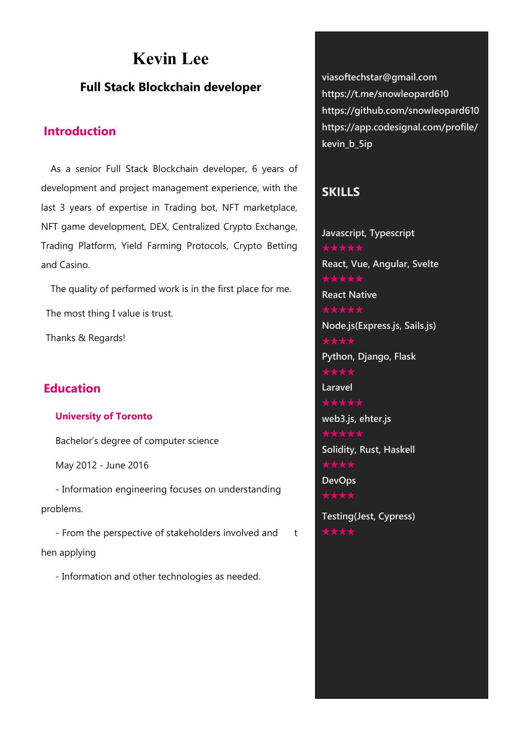# **Kevin Lee**

### **Full Stack Blockchain developer**

### **Introduction**

As a senior Full Stack Blockchain developer, 6 years of development and project management experience, with the last 3 years of expertise in Trading bot, NFT marketplace, NFT game development, DEX, Centralized Crypto Exchange, Trading Platform, Yield Farming Protocols, Crypto Betting and Casino.

The quality of performed work is in the first place for me.

The most thing I value is trust.

Thanks & Regards!

### **Education**

#### **University of Toronto**

Bachelor's degree of computer science

May 2012 - June 2016

- Information engineering focuses on understanding problems.

- From the perspective of stakeholders involved and t hen applying

- Information and other technologies as needed.

**viasoftechstar@gmail.com https://t.me/snowleopard610 https://github.com/snowleopard610 https://app.codesignal.com/profile/ kevin\_b\_5ip**

### **SKILLS**

**Javascript, Typescript ★★★★★ React, Vue, Angular, Svelte ★★★★★ React Native ★★★★★ Node.js(Express.js, Sails.js) ★★★★ Python, Django, Flask ★★★★ Laravel ★★★★★ web3.js, ehter.js Solidity, Rust, Haskell ★★★★ DevOps Testing(Jest, Cypress)**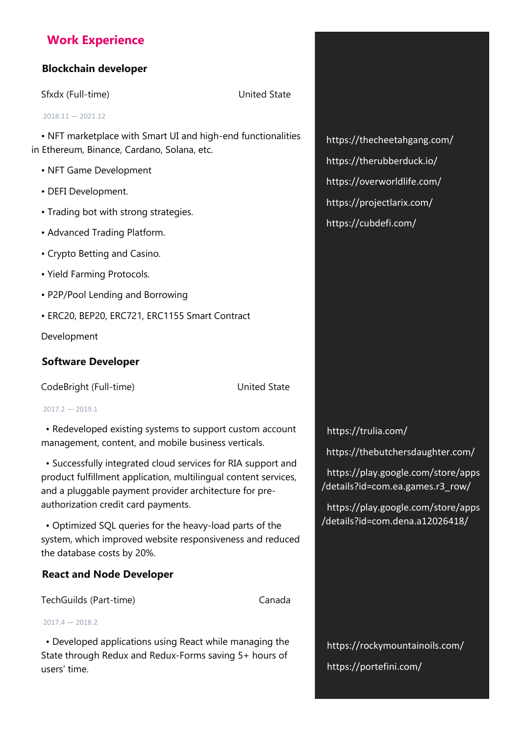## **Work Experience**

### **Blockchain developer**

Sfxdx (Full-time) United State

 $2018.11 - 2021.12$ 

• NFT marketplace with Smart UI and high-end functionalities in Ethereum, Binance, Cardano, Solana, etc.

- NFT Game Development
- DEFI Development.
- Trading bot with strong strategies.
- Advanced Trading Platform.
- Crypto Betting and Casino.
- Yield Farming Protocols.
- P2P/Pool Lending and Borrowing
- ERC20, BEP20, ERC721, ERC1155 Smart Contract

Development

### **Software Developer**

CodeBright (Full-time) United State

 $2017.2 - 2019.1$ 

• Redeveloped existing systems to support custom account management, content, and mobile business verticals.<br>• Successfully integrated cloud services for RIA support and

product fulfillment application, multilingual content services, and a pluggable payment provider architecture for pre authorization credit card payments.

• Optimized SQL queries for the heavy-load parts of the system, which improved website responsiveness and reduced the database costs by 20%.

### **React and Node Developer**

TechGuilds (Part-time) Canada

 $2017.4 - 2018.2$ 

• Developed applications using React while managing the State through Redux and Redux-Forms saving 5+ hours of users' time.

https://thecheetahgang.com/ https://therubberduck.io/ https://overworldlife.com/ https://projectlarix.com/ https://cubdefi.com/

https://trulia.com/

https://thebutchersdaughter.com/

https://play.google.com/store/apps /details?id=com.ea.games.r3\_row/

https://play.google.com/store/apps /details?id=com.dena.a12026418/

https://rockymountainoils.com/ https://portefini.com/